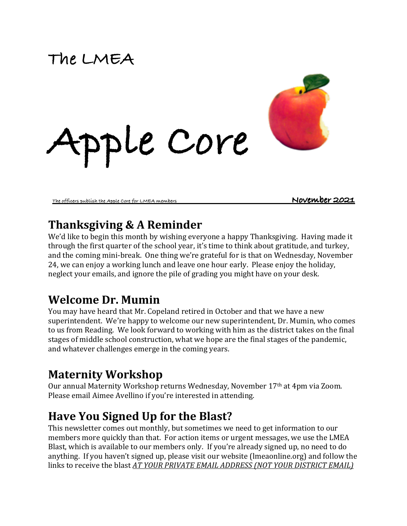# **The LMEA**



**The officers publish the Apple Core for LMEA members November 2021** 

## **Thanksgiving & A Reminder**

We'd like to begin this month by wishing everyone a happy Thanksgiving. Having made it through the first quarter of the school year, it's time to think about gratitude, and turkey, and the coming mini-break. One thing we're grateful for is that on Wednesday, November 24, we can enjoy a working lunch and leave one hour early. Please enjoy the holiday, neglect your emails, and ignore the pile of grading you might have on your desk.

## **Welcome Dr. Mumin**

You may have heard that Mr. Copeland retired in October and that we have a new superintendent. We're happy to welcome our new superintendent, Dr. Mumin, who comes to us from Reading. We look forward to working with him as the district takes on the final stages of middle school construction, what we hope are the final stages of the pandemic, and whatever challenges emerge in the coming years.

# **Maternity Workshop**

Our annual Maternity Workshop returns Wednesday, November 17<sup>th</sup> at 4pm via Zoom. Please email Aimee Avellino if you're interested in attending.

# **Have You Signed Up for the Blast?**

This newsletter comes out monthly, but sometimes we need to get information to our members more quickly than that. For action items or urgent messages, we use the LMEA Blast, which is available to our members only. If you're already signed up, no need to do anything. If you haven't signed up, please visit our website (lmeaonline.org) and follow the links to receive the blast AT YOUR PRIVATE EMAIL ADDRESS (NOT YOUR DISTRICT EMAIL)